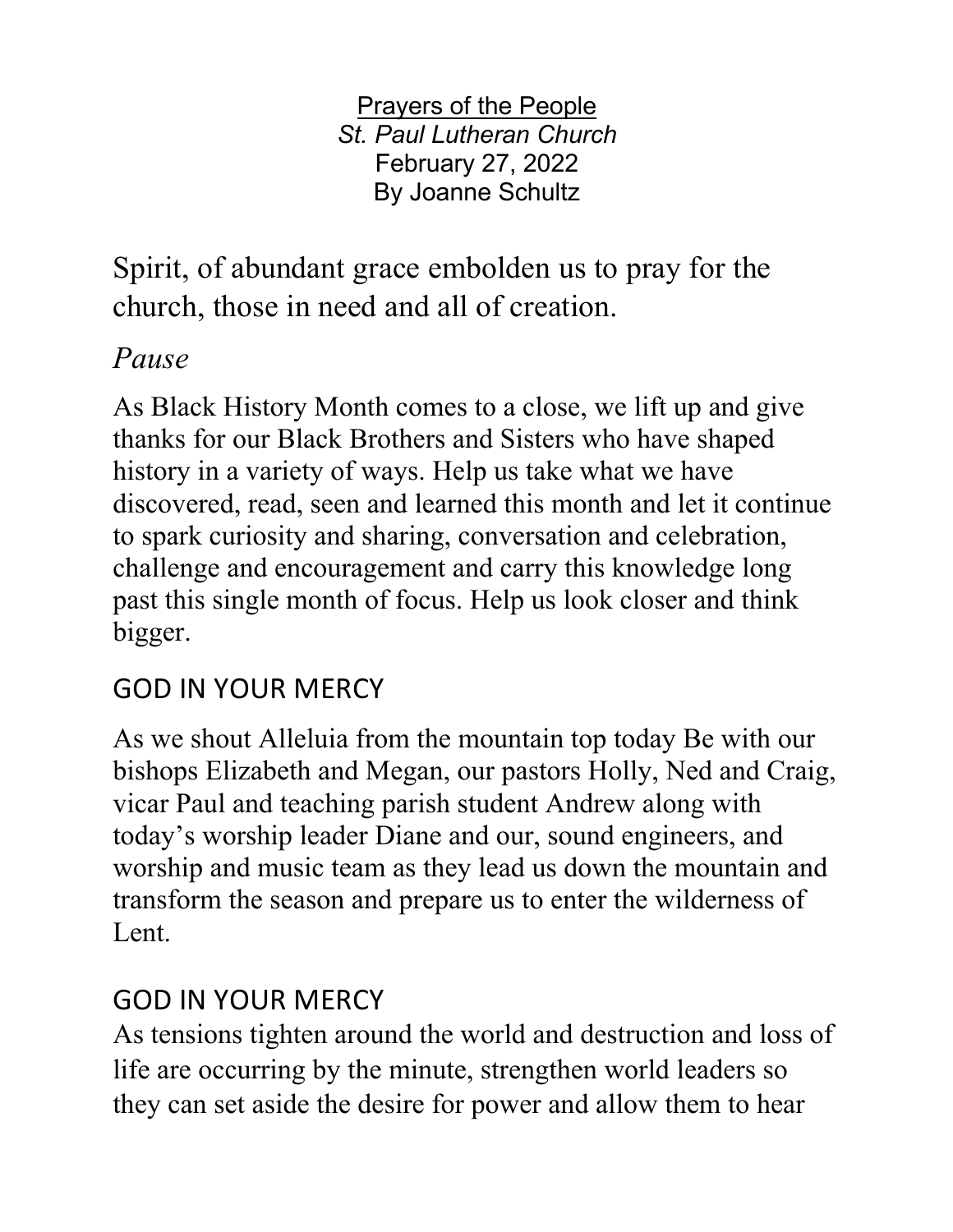Prayers of the People *St. Paul Lutheran Church* February 27, 2022 By Joanne Schultz

Spirit, of abundant grace embolden us to pray for the church, those in need and all of creation.

### *Pause*

As Black History Month comes to a close, we lift up and give thanks for our Black Brothers and Sisters who have shaped history in a variety of ways. Help us take what we have discovered, read, seen and learned this month and let it continue to spark curiosity and sharing, conversation and celebration, challenge and encouragement and carry this knowledge long past this single month of focus. Help us look closer and think bigger.

# GOD IN YOUR MERCY

As we shout Alleluia from the mountain top today Be with our bishops Elizabeth and Megan, our pastors Holly, Ned and Craig, vicar Paul and teaching parish student Andrew along with today's worship leader Diane and our, sound engineers, and worship and music team as they lead us down the mountain and transform the season and prepare us to enter the wilderness of Lent.

## GOD IN YOUR MERCY

As tensions tighten around the world and destruction and loss of life are occurring by the minute, strengthen world leaders so they can set aside the desire for power and allow them to hear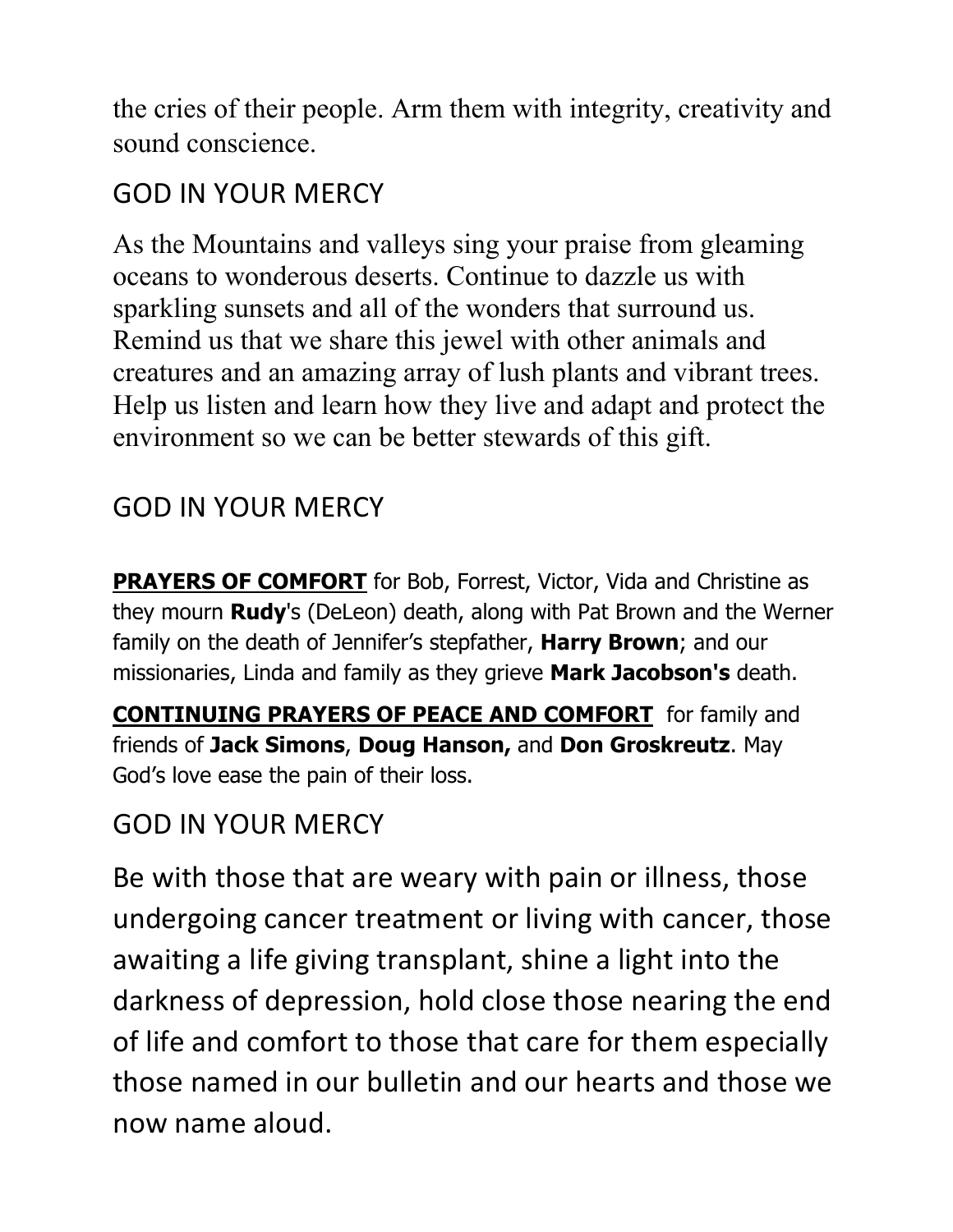the cries of their people. Arm them with integrity, creativity and sound conscience.

## GOD IN YOUR MERCY

As the Mountains and valleys sing your praise from gleaming oceans to wonderous deserts. Continue to dazzle us with sparkling sunsets and all of the wonders that surround us. Remind us that we share this jewel with other animals and creatures and an amazing array of lush plants and vibrant trees. Help us listen and learn how they live and adapt and protect the environment so we can be better stewards of this gift.

### GOD IN YOUR MERCY

**PRAYERS OF COMFORT** for Bob, Forrest, Victor, Vida and Christine as they mourn **Rudy**'s (DeLeon) death, along with Pat Brown and the Werner family on the death of Jennifer's stepfather, **Harry Brown**; and our missionaries, Linda and family as they grieve **Mark Jacobson's** death.

**CONTINUING PRAYERS OF PEACE AND COMFORT** for family and friends of **Jack Simons**, **Doug Hanson,** and **Don Groskreutz**. May God's love ease the pain of their loss.

## GOD IN YOUR MERCY

Be with those that are weary with pain or illness, those undergoing cancer treatment or living with cancer, those awaiting a life giving transplant, shine a light into the darkness of depression, hold close those nearing the end of life and comfort to those that care for them especially those named in our bulletin and our hearts and those we now name aloud.